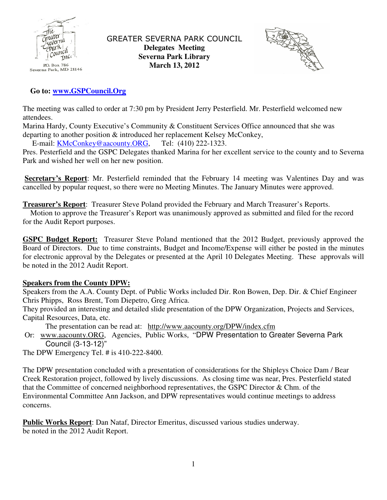

GREATER SEVERNA PARK COUNCIL **Delegates Meeting Severna Park Library March 13, 2012** 



## **Go to: www.GSPCouncil.Org**

The meeting was called to order at 7:30 pm by President Jerry Pesterfield. Mr. Pesterfield welcomed new attendees.

Marina Hardy, County Executive's Community & Constituent Services Office announced that she was departing to another position & introduced her replacement Kelsey McConkey,

E-mail: KMcConkey@aacounty.ORG, Tel: (410) 222-1323.

Pres. Pesterfield and the GSPC Delegates thanked Marina for her excellent service to the county and to Severna Park and wished her well on her new position.

Secretary's Report: Mr. Pesterfield reminded that the February 14 meeting was Valentines Day and was cancelled by popular request, so there were no Meeting Minutes. The January Minutes were approved.

**Treasurer's Report**: Treasurer Steve Poland provided the February and March Treasurer's Reports.

 Motion to approve the Treasurer's Report was unanimously approved as submitted and filed for the record for the Audit Report purposes.

**GSPC Budget Report:** Treasurer Steve Poland mentioned that the 2012 Budget, previously approved the Board of Directors. Due to time constraints, Budget and Income/Expense will either be posted in the minutes for electronic approval by the Delegates or presented at the April 10 Delegates Meeting. These approvals will be noted in the 2012 Audit Report.

## **Speakers from the County DPW:**

Speakers from the A.A. County Dept. of Public Works included Dir. Ron Bowen, Dep. Dir. & Chief Engineer Chris Phipps, Ross Brent, Tom Diepetro, Greg Africa.

They provided an interesting and detailed slide presentation of the DPW Organization, Projects and Services, Capital Resources, Data, etc.

The presentation can be read at: http://www.aacounty.org/DPW/index.cfm

 Or: www.aacounty.ORG, Agencies, Public Works, "DPW Presentation to Greater Severna Park Council (3-13-12)"

The DPW Emergency Tel. # is 410-222-8400.

The DPW presentation concluded with a presentation of considerations for the Shipleys Choice Dam / Bear Creek Restoration project, followed by lively discussions. As closing time was near, Pres. Pesterfield stated that the Committee of concerned neighborhood representatives, the GSPC Director & Chm. of the Environmental Committee Ann Jackson, and DPW representatives would continue meetings to address concerns.

**Public Works Report**: Dan Nataf, Director Emeritus, discussed various studies underway. be noted in the 2012 Audit Report.